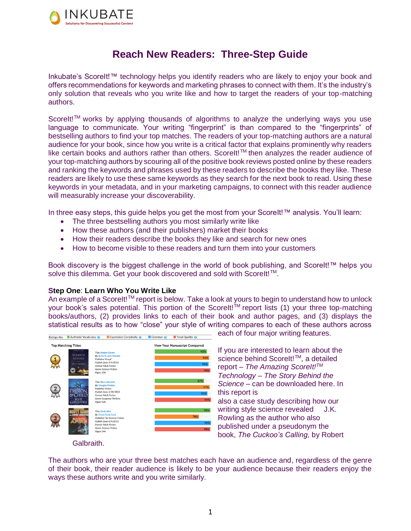

# **Reach New Readers: Three-Step Guide**

Inkubate's ScoreIt!™ technology helps you identify readers who are likely to enjoy your book and offers recommendations for keywords and marketing phrases to connect with them. It's the industry's only solution that reveals who you write like and how to target the readers of your top-matching authors.

ScoreIt!™ works by applying thousands of algorithms to analyze the underlying ways you use language to communicate. Your writing "fingerprint" is than compared to the "fingerprints" of bestselling authors to find your top matches. The readers of your top-matching authors are a natural audience for your book, since how you write is a critical factor that explains prominently why readers like certain books and authors rather than others. ScoreIt!<sup>™</sup> then analyzes the reader audience of your top-matching authors by scouring all of the positive book reviews posted online by these readers and ranking the keywords and phrases used by these readers to describe the books they like. These readers are likely to use these same keywords as they search for the next book to read. Using these keywords in your metadata, and in your marketing campaigns, to connect with this reader audience will measurably increase your discoverability.

In three easy steps, this guide helps you get the most from your ScoreIt!™ analysis. You'll learn:

- The three bestselling authors you most similarly write like
- How these authors (and their publishers) market their books
- How their readers describe the books they like and search for new ones
- How to become visible to these readers and turn them into your customers

Book discovery is the biggest challenge in the world of book publishing, and ScoreIt!™ helps you solve this dilemma. Get your book discovered and sold with ScoreIt!<sup>™</sup>.

# **Step One**: **Learn Who You Write Like**

An example of a ScoreIt!™ report is below. Take a look at yours to begin to understand how to unlock your book's sales potential. This portion of the ScoreIt!<sup>™</sup> report lists (1) your three top-matching books/authors, (2) provides links to each of their book and author pages, and (3) displays the statistical results as to how "close" your style of writing compares to each of these authors across



each of four major writing features.

If you are interested to learn about the science behind ScoreIt!<sup>™</sup>, a detailed report – *The Amazing ScoreIt!TM Technology – The Story Behind the Science* – can be downloaded here. In this report is also a case study describing how our writing style science revealed J.K. Rowling as the author who also published under a pseudonym the book, *The Cuckoo's Calling*, by Robert

Galbraith.

The authors who are your three best matches each have an audience and, regardless of the genre of their book, their reader audience is likely to be your audience because their readers enjoy the ways these authors write and you write similarly.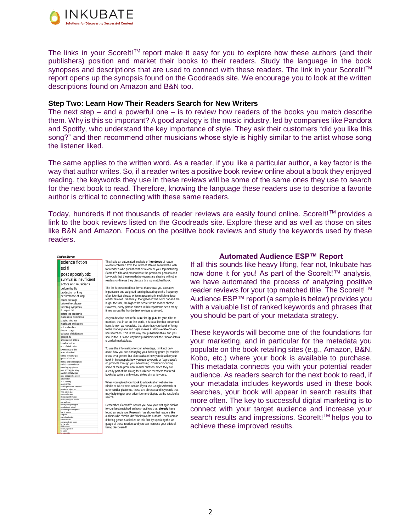

The links in your ScoreIt!<sup>™</sup> report make it easy for you to explore how these authors (and their publishers) position and market their books to their readers. Study the language in the book synopses and descriptions that are used to connect with these readers. The link in your ScoreIt!<sup>™</sup> report opens up the synopsis found on the Goodreads site. We encourage you to look at the written descriptions found on Amazon and B&N too.

## **Step Two: Learn How Their Readers Search for New Writers**

The next step – and a powerful one – is to review how readers of the books you match describe them. Why is this so important? A good analogy is the music industry, led by companies like Pandora and Spotify, who understand the key importance of style. They ask their customers "did you like this song?" and then recommend other musicians whose style is highly similar to the artist whose song the listener liked.

The same applies to the written word. As a reader, if you like a particular author, a key factor is the way that author writes. So, if a reader writes a positive book review online about a book they enjoyed reading, the keywords they use in these reviews will be some of the same ones they use to search for the next book to read. Therefore, knowing the language these readers use to describe a favorite author is critical to connecting with these same readers.

Today, hundreds if not thousands of reader reviews are easily found online. ScoreIt!™ provides a link to the book reviews listed on the Goodreads site. Explore these and as well as those on sites like B&N and Amazon. Focus on the positive book reviews and study the keywords used by these readers.

| science fiction                                |
|------------------------------------------------|
| sci fi                                         |
| post apocalyptic                               |
| survival is insufficient                       |
| actors and musicians                           |
| before the flu                                 |
| production of king                             |
| performance of king                            |
| attack on stage                                |
| before the collapse                            |
|                                                |
| traveling symphony                             |
| flu wipes out                                  |
| before the pandemic                            |
| museum of civilization                         |
| playing king lear<br>musicians and actors      |
|                                                |
| actor who dies                                 |
| dies on stage                                  |
| collapse of civilization<br>georgia flu        |
| speculative fiction                            |
| band of actors                                 |
| end of civilization                            |
| sweetness of life                              |
| actor who died                                 |
| called the georgia                             |
| group of actors                                |
| music and shakespeare                          |
| called station eleven                          |
| travelling symphony<br>post apocalyptic story  |
| pandemic that wipes                            |
| post apocalyptic world                         |
| adult fiction                                  |
| 21st century<br>georgian flu                   |
| shakespeare and classical                      |
| pandemic wipes out                             |
| virus wipes out                                |
| troupe of actors<br>during a performance       |
| post apocalyptic novels                        |
| pre and post                                   |
| fan of post-apocalyptic<br>population is wiped |
| performing shakespeare                         |
| lear in toronto                                |
| king lear<br>played out under                  |
| eleven comic                                   |
| post apocalyptic genre<br>flu that kills       |
| child actress                                  |
| worlds population<br>flu wipes                 |
| <b>Accessive</b>                               |

*Station Eleven*

This list is an automated analysis of **hundreds** of reader<br>reviews collected from the internet. We've scoured the web<br>for reader's who published their review of your top matching<br>Scorelt!<sup>III</sup>' tilte and present here the p readers on-line as they discuss this top matched book.

The list is presented in a format that shows you a relative<br>importance and weighted ranking based upon the frequency<br>of an identical phrase or term appearing in multiple unique<br>reader reviews. Generally, the "greener" the larger the font, the higher the score for the reader phrase. However, every phrase shown in this report was seen many times across the hundreds of reviews analyzed.

As you develop and refin a ra r let im d an for your title re -As you develop and refin a mar ket ing p an for your title re-<br>member, that in an on-line world, it is data like that presented<br>here, known as *metadata*, that describes your book offering<br>to the marketplace and helps make line searches. This is the way that publishers think and you should too. It is one way how publishers sell their books into a crowded marketplace.

To use this information to your advantage, think not only about how you are classifying your book by genre (or multiple book in its synopsis; how you use keywords or "tag-clouds"; or, promote through your advertising. Consider including some of these prominent reader phrases, since they are some of the dialog for audience members that read books by writers with writing styles similar to yours.

When you upload your book to a bookseller website like<br>Kindle or B&N Press and/or, if you use Google Adwords or<br>other similar platforms, these are phrases and keywords that<br>may help trigger your advertisement display as th search.

Remember, Scoretil!" shows you how your writing is similar<br>to your best matched authors - authors that **already** have<br>found an audience. Research has shown that readers like<br>authors who "wwite like" their tavorite authors

#### **Automated Audience ESP™ Report**

If all this sounds like heavy lifting, fear not, Inkubate has now done it for you! As part of the ScoreIt!™ analysis, we have automated the process of analyzing positive reader reviews for your top matched title. The ScoreIt!<sup>™</sup> Audience ESP™ report (a sample is below) provides you with a valuable list of ranked keywords and phrases that you should be part of your metadata strategy.

These keywords will become one of the foundations for your marketing, and in particular for the metadata you populate on the book retailing sites (e.g., Amazon, B&N, Kobo, etc.) where your book is available to purchase. This metadata connects you with your potential reader audience. As readers search for the next book to read, if your metadata includes keywords used in these book searches, your book will appear in search results that more often. The key to successful digital marketing is to connect with your target audience and increase your search results and impressions. ScoreIt!<sup>™</sup> helps you to achieve these improved results.